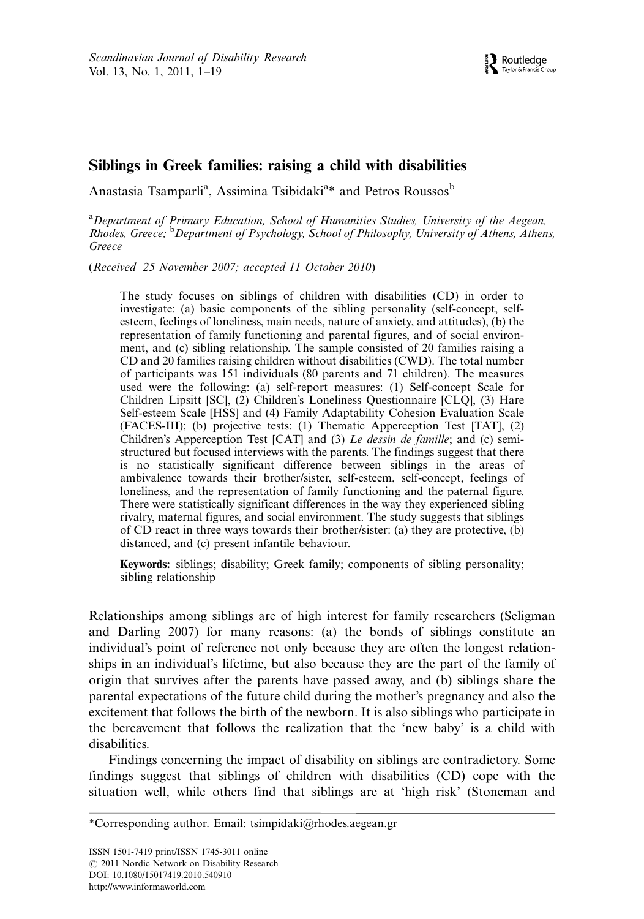# Siblings in Greek families: raising a child with disabilities

Anastasia Tsamparli<sup>a</sup>, Assimina Tsibidaki<sup>a</sup>\* and Petros Roussos<sup>b</sup>

<sup>a</sup> Department of Primary Education, School of Humanities Studies, University of the Aegean, Rhodes, Greece; <sup>b</sup>Department of Psychology, School of Philosophy, University of Athens, Athens, Greece

(Received 25 November 2007; accepted 11 October 2010)

The study focuses on siblings of children with disabilities (CD) in order to investigate: (a) basic components of the sibling personality (self-concept, selfesteem, feelings of loneliness, main needs, nature of anxiety, and attitudes), (b) the representation of family functioning and parental figures, and of social environment, and (c) sibling relationship. The sample consisted of 20 families raising a CD and 20 families raising children without disabilities (CWD). The total number of participants was 151 individuals (80 parents and 71 children). The measures used were the following: (a) self-report measures: (1) Self-concept Scale for Children Lipsitt [SC], (2) Children's Loneliness Questionnaire [CLQ], (3) Hare Self-esteem Scale [HSS] and (4) Family Adaptability Cohesion Evaluation Scale (FACES-III); (b) projective tests: (1) Thematic Apperception Test [TAT], (2) Children's Apperception Test [CAT] and (3) Le dessin de famille; and (c) semistructured but focused interviews with the parents. The findings suggest that there is no statistically significant difference between siblings in the areas of ambivalence towards their brother/sister, self-esteem, self-concept, feelings of loneliness, and the representation of family functioning and the paternal figure. There were statistically significant differences in the way they experienced sibling rivalry, maternal figures, and social environment. The study suggests that siblings of CD react in three ways towards their brother/sister: (a) they are protective, (b) distanced, and (c) present infantile behaviour.

Keywords: siblings; disability; Greek family; components of sibling personality; sibling relationship

Relationships among siblings are of high interest for family researchers (Seligman and Darling 2007) for many reasons: (a) the bonds of siblings constitute an individual's point of reference not only because they are often the longest relationships in an individual's lifetime, but also because they are the part of the family of origin that survives after the parents have passed away, and (b) siblings share the parental expectations of the future child during the mother's pregnancy and also the excitement that follows the birth of the newborn. It is also siblings who participate in the bereavement that follows the realization that the 'new baby' is a child with disabilities.

Findings concerning the impact of disability on siblings are contradictory. Some findings suggest that siblings of children with disabilities (CD) cope with the situation well, while others find that siblings are at 'high risk' (Stoneman and

<sup>\*</sup>Corresponding author. Email: tsimpidaki@rhodes.aegean.gr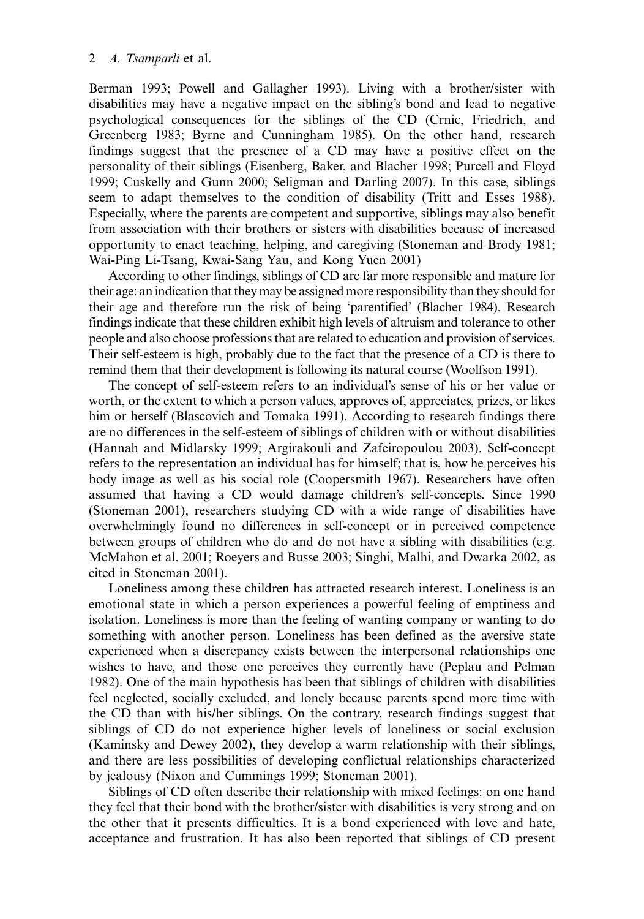Berman 1993; Powell and Gallagher 1993). Living with a brother/sister with disabilities may have a negative impact on the sibling's bond and lead to negative psychological consequences for the siblings of the CD (Crnic, Friedrich, and Greenberg 1983; Byrne and Cunningham 1985). On the other hand, research findings suggest that the presence of a CD may have a positive effect on the personality of their siblings (Eisenberg, Baker, and Blacher 1998; Purcell and Floyd 1999; Cuskelly and Gunn 2000; Seligman and Darling 2007). In this case, siblings seem to adapt themselves to the condition of disability (Tritt and Esses 1988). Especially, where the parents are competent and supportive, siblings may also benefit from association with their brothers or sisters with disabilities because of increased opportunity to enact teaching, helping, and caregiving (Stoneman and Brody 1981; Wai-Ping Li-Tsang, Kwai-Sang Yau, and Kong Yuen 2001)

According to other findings, siblings of CD are far more responsible and mature for their age: an indication that they may be assigned more responsibility than they should for their age and therefore run the risk of being 'parentified' (Blacher 1984). Research findings indicate that these children exhibit high levels of altruism and tolerance to other people and also choose professions that are related to education and provision of services. Their self-esteem is high, probably due to the fact that the presence of a CD is there to remind them that their development is following its natural course (Woolfson 1991).

The concept of self-esteem refers to an individual's sense of his or her value or worth, or the extent to which a person values, approves of, appreciates, prizes, or likes him or herself (Blascovich and Tomaka 1991). According to research findings there are no differences in the self-esteem of siblings of children with or without disabilities (Hannah and Midlarsky 1999; Argirakouli and Zafeiropoulou 2003). Self-concept refers to the representation an individual has for himself; that is, how he perceives his body image as well as his social role (Coopersmith 1967). Researchers have often assumed that having a CD would damage children's self-concepts. Since 1990 (Stoneman 2001), researchers studying CD with a wide range of disabilities have overwhelmingly found no differences in self-concept or in perceived competence between groups of children who do and do not have a sibling with disabilities (e.g. McMahon et al. 2001; Roeyers and Busse 2003; Singhi, Malhi, and Dwarka 2002, as cited in Stoneman 2001).

Loneliness among these children has attracted research interest. Loneliness is an emotional state in which a person experiences a powerful feeling of emptiness and isolation. Loneliness is more than the feeling of wanting company or wanting to do something with another person. Loneliness has been defined as the aversive state experienced when a discrepancy exists between the interpersonal relationships one wishes to have, and those one perceives they currently have (Peplau and Pelman 1982). One of the main hypothesis has been that siblings of children with disabilities feel neglected, socially excluded, and lonely because parents spend more time with the CD than with his/her siblings. On the contrary, research findings suggest that siblings of CD do not experience higher levels of loneliness or social exclusion (Kaminsky and Dewey 2002), they develop a warm relationship with their siblings, and there are less possibilities of developing conflictual relationships characterized by jealousy (Nixon and Cummings 1999; Stoneman 2001).

Siblings of CD often describe their relationship with mixed feelings: on one hand they feel that their bond with the brother/sister with disabilities is very strong and on the other that it presents difficulties. It is a bond experienced with love and hate, acceptance and frustration. It has also been reported that siblings of CD present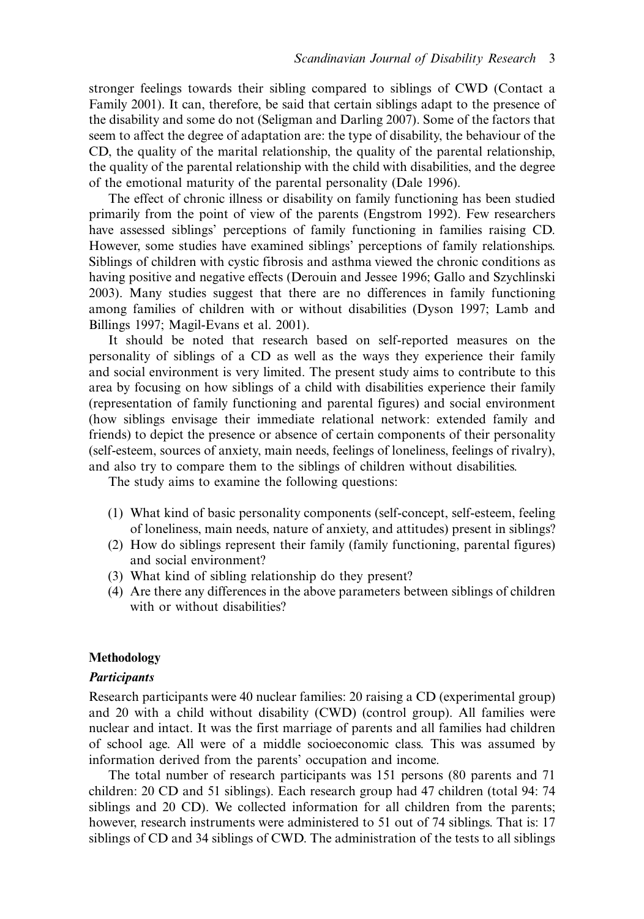stronger feelings towards their sibling compared to siblings of CWD (Contact a Family 2001). It can, therefore, be said that certain siblings adapt to the presence of the disability and some do not (Seligman and Darling 2007). Some of the factors that seem to affect the degree of adaptation are: the type of disability, the behaviour of the CD, the quality of the marital relationship, the quality of the parental relationship, the quality of the parental relationship with the child with disabilities, and the degree of the emotional maturity of the parental personality (Dale 1996).

The effect of chronic illness or disability on family functioning has been studied primarily from the point of view of the parents (Engstrom 1992). Few researchers have assessed siblings' perceptions of family functioning in families raising CD. However, some studies have examined siblings' perceptions of family relationships. Siblings of children with cystic fibrosis and asthma viewed the chronic conditions as having positive and negative effects (Derouin and Jessee 1996; Gallo and Szychlinski 2003). Many studies suggest that there are no differences in family functioning among families of children with or without disabilities (Dyson 1997; Lamb and Billings 1997; Magil-Evans et al. 2001).

It should be noted that research based on self-reported measures on the personality of siblings of a CD as well as the ways they experience their family and social environment is very limited. The present study aims to contribute to this area by focusing on how siblings of a child with disabilities experience their family (representation of family functioning and parental figures) and social environment (how siblings envisage their immediate relational network: extended family and friends) to depict the presence or absence of certain components of their personality (self-esteem, sources of anxiety, main needs, feelings of loneliness, feelings of rivalry), and also try to compare them to the siblings of children without disabilities.

The study aims to examine the following questions:

- (1) What kind of basic personality components (self-concept, self-esteem, feeling of loneliness, main needs, nature of anxiety, and attitudes) present in siblings?
- (2) How do siblings represent their family (family functioning, parental figures) and social environment?
- (3) What kind of sibling relationship do they present?
- (4) Are there any differences in the above parameters between siblings of children with or without disabilities?

#### Methodology

#### **Participants**

Research participants were 40 nuclear families: 20 raising a CD (experimental group) and 20 with a child without disability (CWD) (control group). All families were nuclear and intact. It was the first marriage of parents and all families had children of school age. All were of a middle socioeconomic class. This was assumed by information derived from the parents' occupation and income.

The total number of research participants was 151 persons (80 parents and 71 children: 20 CD and 51 siblings). Each research group had 47 children (total 94: 74 siblings and 20 CD). We collected information for all children from the parents; however, research instruments were administered to 51 out of 74 siblings. That is: 17 siblings of CD and 34 siblings of CWD. The administration of the tests to all siblings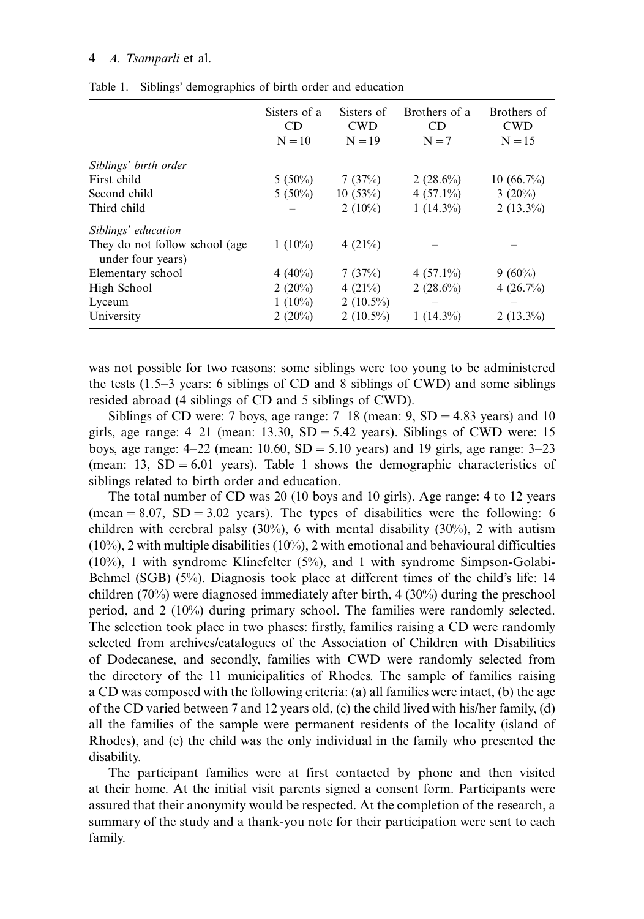|                                                      | Sisters of a<br>CD<br>$N = 10$ | Sisters of<br><b>CWD</b><br>$N = 19$ | Brothers of a<br>CD<br>$N = 7$ | Brothers of<br><b>CWD</b><br>$N = 15$ |
|------------------------------------------------------|--------------------------------|--------------------------------------|--------------------------------|---------------------------------------|
| Siblings' birth order                                |                                |                                      |                                |                                       |
| First child                                          | $5(50\%)$                      | 7(37%)                               | 2 $(28.6\%)$                   | $10(66.7\%)$                          |
| Second child                                         | $5(50\%)$                      | $10(53\%)$                           | $4(57.1\%)$                    | $3(20\%)$                             |
| Third child                                          |                                | 2 $(10\%)$                           | $1(14.3\%)$                    | $2(13.3\%)$                           |
| Siblings' education                                  |                                |                                      |                                |                                       |
| They do not follow school (age)<br>under four years) | $1(10\%)$                      | 4 $(21\%)$                           |                                |                                       |
| Elementary school                                    | 4 $(40\%)$                     | 7(37%)                               | $4(57.1\%)$                    | $9(60\%)$                             |
| High School                                          | $2(20\%)$                      | 4 $(21%)$                            | 2 $(28.6\%)$                   | 4 $(26.7\%)$                          |
| Lyceum                                               | $1(10\%)$                      | 2 $(10.5\%)$                         |                                |                                       |
| University                                           | $2(20\%)$                      | 2 $(10.5\%)$                         | $1(14.3\%)$                    | $2(13.3\%)$                           |

Table 1. Siblings' demographics of birth order and education

was not possible for two reasons: some siblings were too young to be administered the tests  $(1.5-3$  years: 6 siblings of CD and 8 siblings of CWD) and some siblings resided abroad (4 siblings of CD and 5 siblings of CWD).

Siblings of CD were: 7 boys, age range:  $7-18$  (mean: 9, SD = 4.83 years) and 10 girls, age range:  $4-21$  (mean: 13.30, SD = 5.42 years). Siblings of CWD were: 15 boys, age range:  $4-22$  (mean:  $10.60$ ,  $SD = 5.10$  years) and 19 girls, age range:  $3-23$ (mean: 13,  $SD = 6.01$  years). Table 1 shows the demographic characteristics of siblings related to birth order and education.

The total number of CD was 20 (10 boys and 10 girls). Age range: 4 to 12 years  $(\text{mean} = 8.07, SD = 3.02 \text{ years})$ . The types of disabilities were the following: 6 children with cerebral palsy  $(30\%)$ , 6 with mental disability  $(30\%)$ , 2 with autism  $(10\%)$ , 2 with multiple disabilities  $(10\%)$ , 2 with emotional and behavioural difficulties  $(10\%)$ , 1 with syndrome Klinefelter  $(5\%)$ , and 1 with syndrome Simpson-Golabi-Behmel (SGB) (5%). Diagnosis took place at different times of the child's life: 14 children (70%) were diagnosed immediately after birth, 4 (30%) during the preschool period, and 2 (10%) during primary school. The families were randomly selected. The selection took place in two phases: firstly, families raising a CD were randomly selected from archives/catalogues of the Association of Children with Disabilities of Dodecanese, and secondly, families with CWD were randomly selected from the directory of the 11 municipalities of Rhodes. The sample of families raising a CD was composed with the following criteria: (a) all families were intact, (b) the age of the CD varied between 7 and 12 years old, (c) the child lived with his/her family, (d) all the families of the sample were permanent residents of the locality (island of Rhodes), and (e) the child was the only individual in the family who presented the disability.

The participant families were at first contacted by phone and then visited at their home. At the initial visit parents signed a consent form. Participants were assured that their anonymity would be respected. At the completion of the research, a summary of the study and a thank-you note for their participation were sent to each family.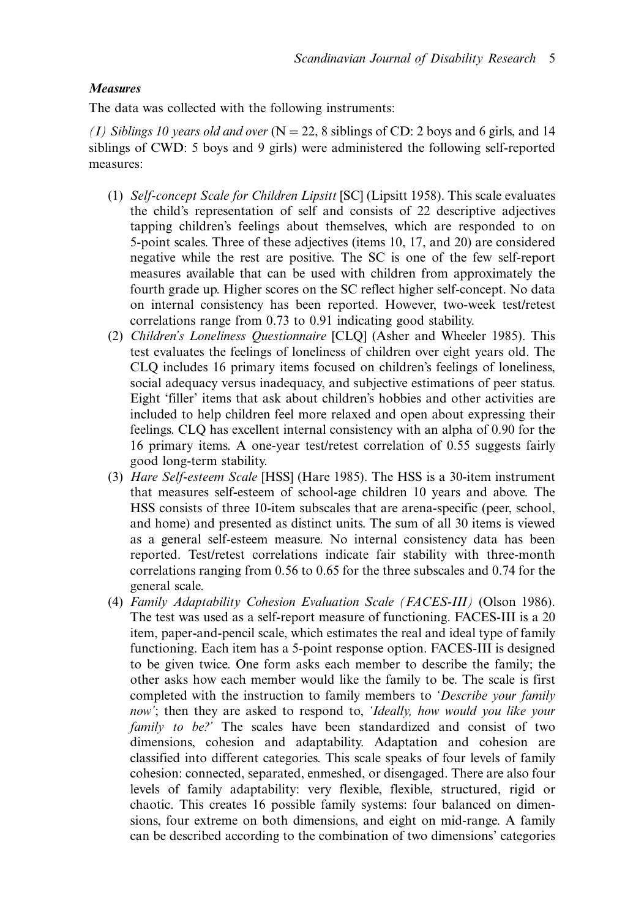#### Measures

The data was collected with the following instruments:

(I) Siblings 10 years old and over  $(N = 22, 8$  siblings of CD: 2 boys and 6 girls, and 14 siblings of CWD: 5 boys and 9 girls) were administered the following self-reported measures:

- (1) Self-concept Scale for Children Lipsitt [SC] (Lipsitt 1958). This scale evaluates the child's representation of self and consists of 22 descriptive adjectives tapping children's feelings about themselves, which are responded to on 5-point scales. Three of these adjectives (items 10, 17, and 20) are considered negative while the rest are positive. The SC is one of the few self-report measures available that can be used with children from approximately the fourth grade up. Higher scores on the SC reflect higher self-concept. No data on internal consistency has been reported. However, two-week test/retest correlations range from 0.73 to 0.91 indicating good stability.
- (2) Children's Loneliness Questionnaire [CLQ] (Asher and Wheeler 1985). This test evaluates the feelings of loneliness of children over eight years old. The CLQ includes 16 primary items focused on children's feelings of loneliness, social adequacy versus inadequacy, and subjective estimations of peer status. Eight 'filler' items that ask about children's hobbies and other activities are included to help children feel more relaxed and open about expressing their feelings. CLQ has excellent internal consistency with an alpha of 0.90 for the 16 primary items. A one-year test/retest correlation of 0.55 suggests fairly good long-term stability.
- (3) Hare Self-esteem Scale [HSS] (Hare 1985). The HSS is a 30-item instrument that measures self-esteem of school-age children 10 years and above. The HSS consists of three 10-item subscales that are arena-specific (peer, school, and home) and presented as distinct units. The sum of all 30 items is viewed as a general self-esteem measure. No internal consistency data has been reported. Test/retest correlations indicate fair stability with three-month correlations ranging from 0.56 to 0.65 for the three subscales and 0.74 for the general scale.
- (4) Family Adaptability Cohesion Evaluation Scale (FACES-III) (Olson 1986). The test was used as a self-report measure of functioning. FACES-III is a 20 item, paper-and-pencil scale, which estimates the real and ideal type of family functioning. Each item has a 5-point response option. FACES-III is designed to be given twice. One form asks each member to describe the family; the other asks how each member would like the family to be. The scale is first completed with the instruction to family members to 'Describe your family now'; then they are asked to respond to, 'Ideally, how would you like your family to be?' The scales have been standardized and consist of two dimensions, cohesion and adaptability. Adaptation and cohesion are classified into different categories. This scale speaks of four levels of family cohesion: connected, separated, enmeshed, or disengaged. There are also four levels of family adaptability: very flexible, flexible, structured, rigid or chaotic. This creates 16 possible family systems: four balanced on dimensions, four extreme on both dimensions, and eight on mid-range. A family can be described according to the combination of two dimensions' categories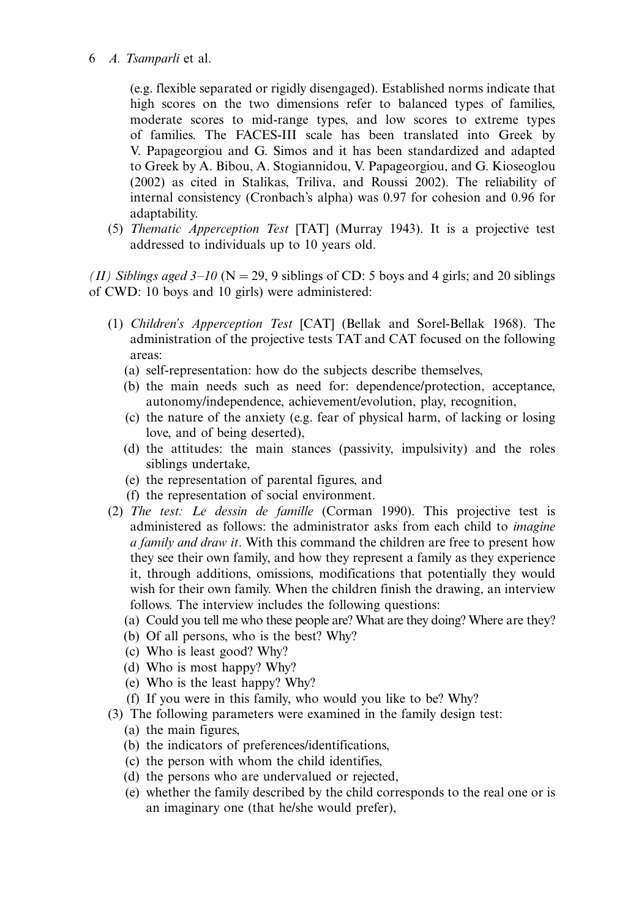(e.g. flexible separated or rigidly disengaged). Established norms indicate that high scores on the two dimensions refer to balanced types of families, moderate scores to mid-range types, and low scores to extreme types of families. The FACES-III scale has been translated into Greek by V. Papageorgiou and G. Simos and it has been standardized and adapted to Greek by A. Bibou, A. Stogiannidou, V. Papageorgiou, and G. Kioseoglou (2002) as cited in Stalikas, Triliva, and Roussi 2002). The reliability of internal consistency (Cronbach's alpha) was 0.97 for cohesion and 0.96 for adaptability.

(5) Thematic Apperception Test [TAT] (Murray 1943). It is a projective test addressed to individuals up to 10 years old.

(II) Siblings aged  $3-10$  (N = 29, 9 siblings of CD: 5 boys and 4 girls; and 20 siblings of CWD: 10 boys and 10 girls) were administered:

- (1) Children's Apperception Test [CAT] (Bellak and Sorel-Bellak 1968). The administration of the projective tests TAT and CAT focused on the following areas:
	- (a) self-representation: how do the subjects describe themselves,
	- (b) the main needs such as need for: dependence/protection, acceptance, autonomy/independence, achievement/evolution, play, recognition,
	- (c) the nature of the anxiety (e.g. fear of physical harm, of lacking or losing love, and of being deserted),
	- (d) the attitudes: the main stances (passivity, impulsivity) and the roles siblings undertake,
	- (e) the representation of parental figures, and
	- (f) the representation of social environment.
- (2) The test: Le dessin de famille (Corman 1990). This projective test is administered as follows: the administrator asks from each child to imagine a family and draw it. With this command the children are free to present how they see their own family, and how they represent a family as they experience it, through additions, omissions, modifications that potentially they would wish for their own family. When the children finish the drawing, an interview follows. The interview includes the following questions:
	- (a) Could you tell me who these people are? What are they doing? Where are they?
	- (b) Of all persons, who is the best? Why?
	- (c) Who is least good? Why?
	- (d) Who is most happy? Why?
	- (e) Who is the least happy? Why?
	- (f) If you were in this family, who would you like to be? Why?
- (3) The following parameters were examined in the family design test:
	- (a) the main figures,
	- (b) the indicators of preferences/identifications,
	- (c) the person with whom the child identifies,
	- (d) the persons who are undervalued or rejected,
	- (e) whether the family described by the child corresponds to the real one or is an imaginary one (that he/she would prefer),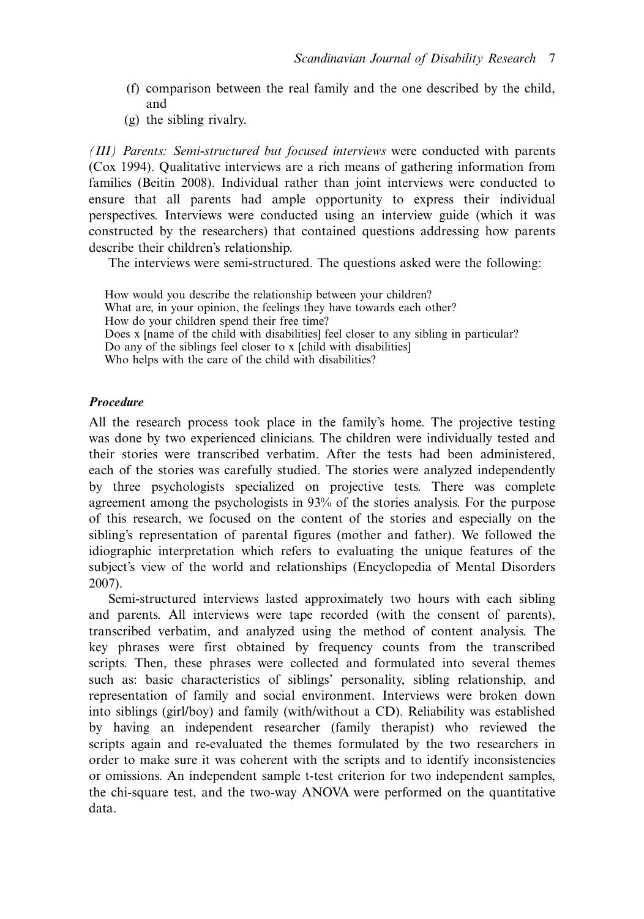- (f) comparison between the real family and the one described by the child, and
- (g) the sibling rivalry.

(III) Parents: Semi-structured but focused interviews were conducted with parents (Cox 1994). Qualitative interviews are a rich means of gathering information from families (Beitin 2008). Individual rather than joint interviews were conducted to ensure that all parents had ample opportunity to express their individual perspectives. Interviews were conducted using an interview guide (which it was constructed by the researchers) that contained questions addressing how parents describe their children's relationship.

The interviews were semi-structured. The questions asked were the following:

How would you describe the relationship between your children? What are, in your opinion, the feelings they have towards each other? How do your children spend their free time? Does x [name of the child with disabilities] feel closer to any sibling in particular? Do any of the siblings feel closer to x [child with disabilities] Who helps with the care of the child with disabilities?

## Procedure

All the research process took place in the family's home. The projective testing was done by two experienced clinicians. The children were individually tested and their stories were transcribed verbatim. After the tests had been administered, each of the stories was carefully studied. The stories were analyzed independently by three psychologists specialized on projective tests. There was complete agreement among the psychologists in 93% of the stories analysis. For the purpose of this research, we focused on the content of the stories and especially on the sibling's representation of parental figures (mother and father). We followed the idiographic interpretation which refers to evaluating the unique features of the subject's view of the world and relationships (Encyclopedia of Mental Disorders 2007).

Semi-structured interviews lasted approximately two hours with each sibling and parents. All interviews were tape recorded (with the consent of parents), transcribed verbatim, and analyzed using the method of content analysis. The key phrases were first obtained by frequency counts from the transcribed scripts. Then, these phrases were collected and formulated into several themes such as: basic characteristics of siblings' personality, sibling relationship, and representation of family and social environment. Interviews were broken down into siblings (girl/boy) and family (with/without a CD). Reliability was established by having an independent researcher (family therapist) who reviewed the scripts again and re-evaluated the themes formulated by the two researchers in order to make sure it was coherent with the scripts and to identify inconsistencies or omissions. An independent sample t-test criterion for two independent samples, the chi-square test, and the two-way ANOVA were performed on the quantitative data.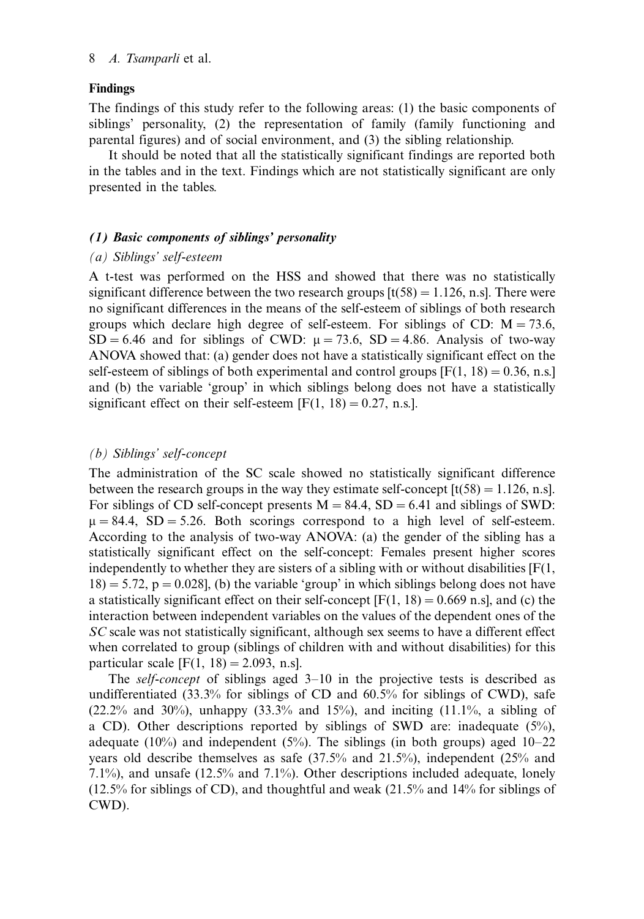#### Findings

The findings of this study refer to the following areas: (1) the basic components of siblings' personality, (2) the representation of family (family functioning and parental figures) and of social environment, and (3) the sibling relationship.

It should be noted that all the statistically significant findings are reported both in the tables and in the text. Findings which are not statistically significant are only presented in the tables.

#### (1) Basic components of siblings' personality

#### (a) Siblings' self-esteem

A t-test was performed on the HSS and showed that there was no statistically significant difference between the two research groups  $[t(58) = 1.126, n.s]$ . There were no significant differences in the means of the self-esteem of siblings of both research groups which declare high degree of self-esteem. For siblings of CD:  $M = 73.6$ ,  $SD = 6.46$  and for siblings of CWD:  $\mu = 73.6$ ,  $SD = 4.86$ . Analysis of two-way ANOVA showed that: (a) gender does not have a statistically significant effect on the self-esteem of siblings of both experimental and control groups  $[F(1, 18) = 0.36, n.s.]$ and (b) the variable 'group' in which siblings belong does not have a statistically significant effect on their self-esteem  $[F(1, 18) = 0.27, n.s.]$ .

#### (b) Siblings' self-concept

The administration of the SC scale showed no statistically significant difference between the research groups in the way they estimate self-concept  $[t(58) = 1.126, n.s]$ . For siblings of CD self-concept presents  $M = 84.4$ ,  $SD = 6.41$  and siblings of SWD:  $\mu = 84.4$ , SD = 5.26. Both scorings correspond to a high level of self-esteem. According to the analysis of two-way ANOVA: (a) the gender of the sibling has a statistically significant effect on the self-concept: Females present higher scores independently to whether they are sisters of a sibling with or without disabilities  $[F(1,$  $18$  = 5.72, p = 0.028], (b) the variable 'group' in which siblings belong does not have a statistically significant effect on their self-concept  $[F(1, 18) = 0.669$  n.s], and (c) the interaction between independent variables on the values of the dependent ones of the SC scale was not statistically significant, although sex seems to have a different effect when correlated to group (siblings of children with and without disabilities) for this particular scale  $[F(1, 18) = 2.093, n.s]$ .

The *self-concept* of siblings aged  $3-10$  in the projective tests is described as undifferentiated  $(33.3\%$  for siblings of CD and  $60.5\%$  for siblings of CWD), safe (22.2% and 30%), unhappy (33.3% and 15%), and inciting  $(11.1\%$ , a sibling of a CD). Other descriptions reported by siblings of SWD are: inadequate  $(5\%)$ , adequate (10%) and independent (5%). The siblings (in both groups) aged  $10-22$ years old describe themselves as safe (37.5% and 21.5%), independent (25% and 7.1%), and unsafe (12.5% and 7.1%). Other descriptions included adequate, lonely (12.5% for siblings of CD), and thoughtful and weak (21.5% and 14% for siblings of CWD).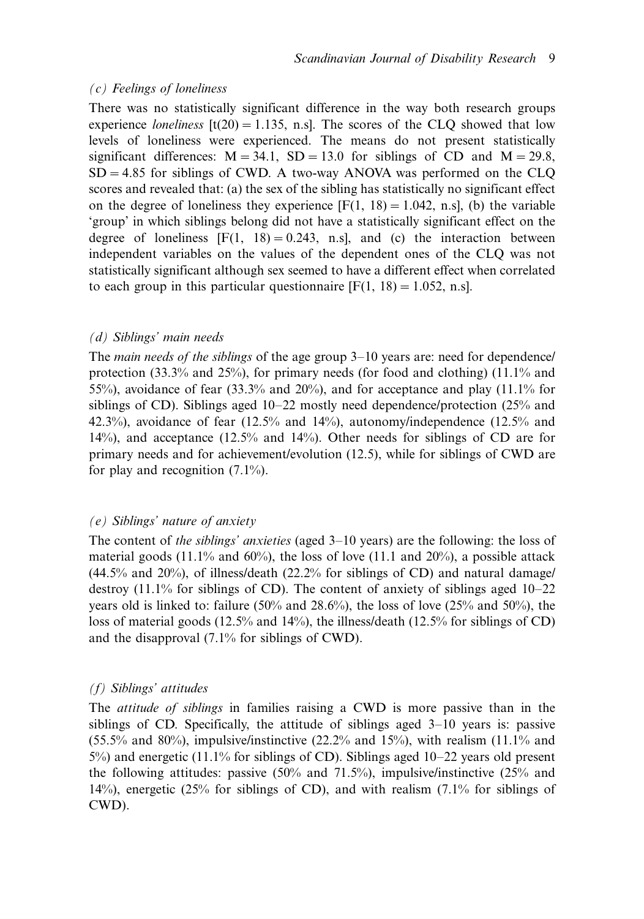## (c) Feelings of loneliness

There was no statistically significant difference in the way both research groups experience *loneliness*  $[t(20) = 1.135, n.s]$ . The scores of the CLQ showed that low levels of loneliness were experienced. The means do not present statistically significant differences:  $M = 34.1$ ,  $SD = 13.0$  for siblings of CD and  $M = 29.8$ ,  $SD = 4.85$  for siblings of CWD. A two-way ANOVA was performed on the CLQ scores and revealed that: (a) the sex of the sibling has statistically no significant effect on the degree of loneliness they experience  $[F(1, 18) = 1.042, n.s]$ , (b) the variable 'group' in which siblings belong did not have a statistically significant effect on the degree of loneliness  $[F(1, 18) = 0.243, n.s]$ , and (c) the interaction between independent variables on the values of the dependent ones of the CLQ was not statistically significant although sex seemed to have a different effect when correlated to each group in this particular questionnaire  $[F(1, 18) = 1.052, n.s]$ .

#### (d) Siblings' main needs

The *main needs of the siblings* of the age group  $3-10$  years are: need for dependence/ protection (33.3% and 25%), for primary needs (for food and clothing) (11.1% and 55%), avoidance of fear (33.3% and 20%), and for acceptance and play (11.1% for siblings of CD). Siblings aged  $10-22$  mostly need dependence/protection (25% and 42.3%), avoidance of fear (12.5% and 14%), autonomy/independence (12.5% and 14%), and acceptance (12.5% and 14%). Other needs for siblings of CD are for primary needs and for achievement/evolution (12.5), while for siblings of CWD are for play and recognition (7.1%).

#### (e) Siblings' nature of anxiety

The content of the siblings' anxieties (aged  $3-10$  years) are the following: the loss of material goods  $(11.1\%$  and  $60\%)$ , the loss of love  $(11.1 \text{ and } 20\%)$ , a possible attack  $(44.5\%$  and  $20\%)$ , of illness/death  $(22.2\%$  for siblings of CD) and natural damage/ destroy  $(11.1\%$  for siblings of CD). The content of anxiety of siblings aged  $10-22$ years old is linked to: failure  $(50\% \text{ and } 28.6\%)$ , the loss of love  $(25\% \text{ and } 50\%)$ , the loss of material goods (12.5% and 14%), the illness/death (12.5% for siblings of CD) and the disapproval (7.1% for siblings of CWD).

#### (f) Siblings' attitudes

The attitude of siblings in families raising a CWD is more passive than in the siblings of CD. Specifically, the attitude of siblings aged  $3-10$  years is: passive (55.5% and 80%), impulsive/instinctive (22.2% and 15%), with realism (11.1% and 5%) and energetic (11.1% for siblings of CD). Siblings aged  $10-22$  years old present the following attitudes: passive (50% and 71.5%), impulsive/instinctive (25% and 14%), energetic (25% for siblings of CD), and with realism (7.1% for siblings of CWD).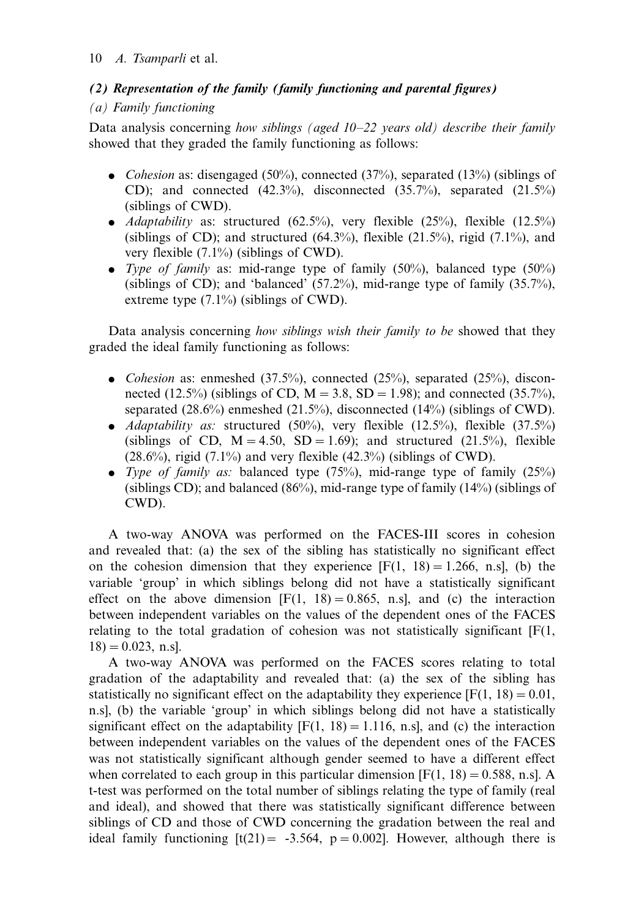## (2) Representation of the family (family functioning and parental figures)

## (a) Family functioning

Data analysis concerning how siblings (aged  $10-22$  years old) describe their family showed that they graded the family functioning as follows:

- Cohesion as: disengaged (50%), connected (37%), separated (13%) (siblings of CD); and connected  $(42.3\%)$ , disconnected  $(35.7\%)$ , separated  $(21.5\%)$ (siblings of CWD).
- Adaptability as: structured  $(62.5\%)$ , very flexible  $(25\%)$ , flexible  $(12.5\%)$ (siblings of CD); and structured  $(64.3\%)$ , flexible  $(21.5\%)$ , rigid  $(7.1\%)$ , and very flexible (7.1%) (siblings of CWD).
- Type of family as: mid-range type of family  $(50\%)$ , balanced type  $(50\%)$ (siblings of CD); and 'balanced' (57.2%), mid-range type of family (35.7%), extreme type  $(7.1\%)$  (siblings of CWD).

Data analysis concerning how siblings wish their family to be showed that they graded the ideal family functioning as follows:

- Cohesion as: enmeshed  $(37.5\%)$ , connected  $(25\%)$ , separated  $(25\%)$ , disconnected (12.5%) (siblings of CD,  $M = 3.8$ , SD = 1.98); and connected (35.7%), separated (28.6%) enmeshed (21.5%), disconnected (14%) (siblings of CWD).
- Adaptability as: structured  $(50\%)$ , very flexible  $(12.5\%)$ , flexible  $(37.5\%)$ (siblings of CD,  $M = 4.50$ ,  $SD = 1.69$ ); and structured (21.5%), flexible  $(28.6\%)$ , rigid  $(7.1\%)$  and very flexible  $(42.3\%)$  (siblings of CWD).
- Type of family as: balanced type  $(75%)$ , mid-range type of family  $(25%)$ (siblings CD); and balanced  $(86\%)$ , mid-range type of family  $(14\%)$  (siblings of CWD).

A two-way ANOVA was performed on the FACES-III scores in cohesion and revealed that: (a) the sex of the sibling has statistically no significant effect on the cohesion dimension that they experience  $[F(1, 18) = 1.266, n.s]$ , (b) the variable 'group' in which siblings belong did not have a statistically significant effect on the above dimension  $[F(1, 18) = 0.865, n.s]$ , and (c) the interaction between independent variables on the values of the dependent ones of the FACES relating to the total gradation of cohesion was not statistically significant [F(1,  $18) = 0.023$ , n.s].

A two-way ANOVA was performed on the FACES scores relating to total gradation of the adaptability and revealed that: (a) the sex of the sibling has statistically no significant effect on the adaptability they experience  $[F(1, 18) = 0.01]$ , n.s], (b) the variable 'group' in which siblings belong did not have a statistically significant effect on the adaptability  $[F(1, 18) = 1.116, n.s]$ , and (c) the interaction between independent variables on the values of the dependent ones of the FACES was not statistically significant although gender seemed to have a different effect when correlated to each group in this particular dimension  $[F(1, 18) = 0.588, n.s]$ . A t-test was performed on the total number of siblings relating the type of family (real and ideal), and showed that there was statistically significant difference between siblings of CD and those of CWD concerning the gradation between the real and ideal family functioning  $[t(21) = -3.564, p = 0.002]$ . However, although there is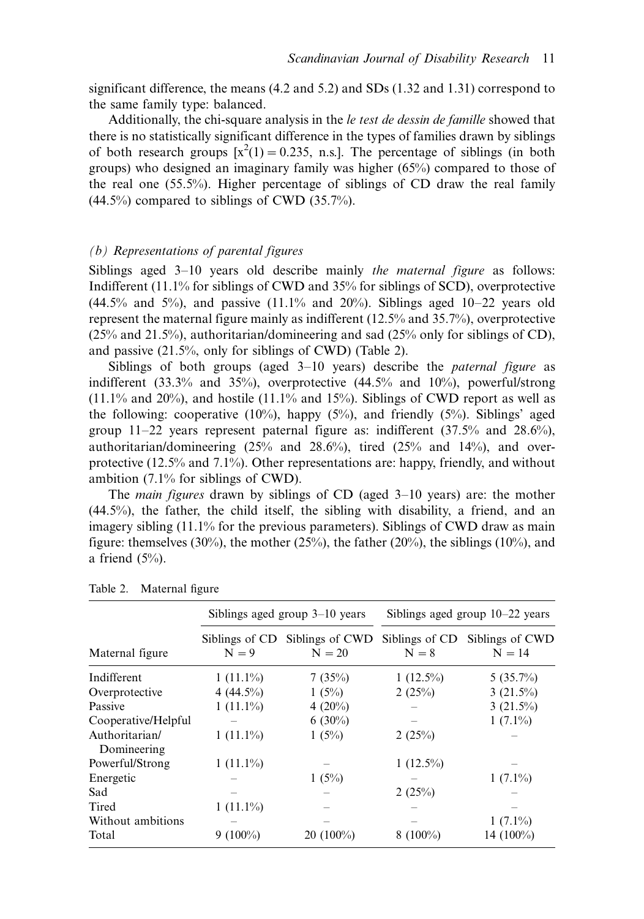significant difference, the means (4.2 and 5.2) and SDs (1.32 and 1.31) correspond to the same family type: balanced.

Additionally, the chi-square analysis in the le test de dessin de famille showed that there is no statistically significant difference in the types of families drawn by siblings of both research groups  $[x^2(1) = 0.235, n.s.]$ . The percentage of siblings (in both groups) who designed an imaginary family was higher (65%) compared to those of the real one  $(55.5\%)$ . Higher percentage of siblings of CD draw the real family  $(44.5\%)$  compared to siblings of CWD  $(35.7\%)$ .

## (b) Representations of parental figures

Siblings aged  $3-10$  years old describe mainly the maternal figure as follows: Indifferent (11.1% for siblings of CWD and 35% for siblings of SCD), overprotective  $(44.5\%$  and  $5\%)$ , and passive  $(11.1\%$  and  $20\%)$ . Siblings aged  $10-22$  years old represent the maternal figure mainly as indifferent (12.5% and 35.7%), overprotective  $(25\% \text{ and } 21.5\%)$ , authoritarian/domineering and sad  $(25\% \text{ only for siblings of CD)}$ , and passive (21.5%, only for siblings of CWD) (Table 2).

Siblings of both groups (aged  $3-10$  years) describe the *paternal figure* as indifferent (33.3% and 35%), overprotective (44.5% and 10%), powerful/strong  $(11.1\%$  and  $20\%)$ , and hostile  $(11.1\%$  and  $15\%)$ . Siblings of CWD report as well as the following: cooperative  $(10\%)$ , happy  $(5\%)$ , and friendly  $(5\%)$ . Siblings' aged group 11-22 years represent paternal figure as: indifferent  $(37.5\%$  and  $28.6\%$ ), authoritarian/domineering  $(25%$  and  $28.6%)$ , tired  $(25%$  and  $14%)$ , and overprotective (12.5% and 7.1%). Other representations are: happy, friendly, and without ambition (7.1% for siblings of CWD).

The *main figures* drawn by siblings of CD (aged  $3-10$  years) are: the mother (44.5%), the father, the child itself, the sibling with disability, a friend, and an imagery sibling (11.1% for the previous parameters). Siblings of CWD draw as main figure: themselves (30%), the mother (25%), the father (20%), the siblings (10%), and a friend  $(5\%)$ .

|                               |                           | Siblings aged group $3-10$ years | Siblings aged group 10-22 years |                             |  |
|-------------------------------|---------------------------|----------------------------------|---------------------------------|-----------------------------|--|
| Maternal figure               | Siblings of CD<br>$N = 9$ | Siblings of CWD<br>$N = 20$      | Siblings of CD<br>$N = 8$       | Siblings of CWD<br>$N = 14$ |  |
| Indifferent                   | $1(11.1\%)$               | 7(35%)                           | $1(12.5\%)$                     | $5(35.7\%)$                 |  |
| Overprotective                | 4 $(44.5\%)$              | 1(5%)                            | 2(25%)                          | $3(21.5\%)$                 |  |
| Passive                       | $1(11.1\%)$               | 4 $(20\%)$                       |                                 | $3(21.5\%)$                 |  |
| Cooperative/Helpful           |                           | $6(30\%)$                        |                                 | $1(7.1\%)$                  |  |
| Authoritarian/<br>Domineering | $1(11.1\%)$               | 1(5%)                            | 2(25%)                          |                             |  |
| Powerful/Strong               | $1(11.1\%)$               |                                  | $1(12.5\%)$                     |                             |  |
| Energetic                     |                           | 1(5%)                            |                                 | $1(7.1\%)$                  |  |
| Sad                           |                           |                                  | 2(25%)                          |                             |  |
| Tired                         | $1(11.1\%)$               |                                  |                                 |                             |  |
| Without ambitions             |                           |                                  |                                 | $1(7.1\%)$                  |  |
| Total                         | $9(100\%)$                | $20(100\%)$                      | $8(100\%)$                      | 14 $(100\%)$                |  |

Table 2. Maternal figure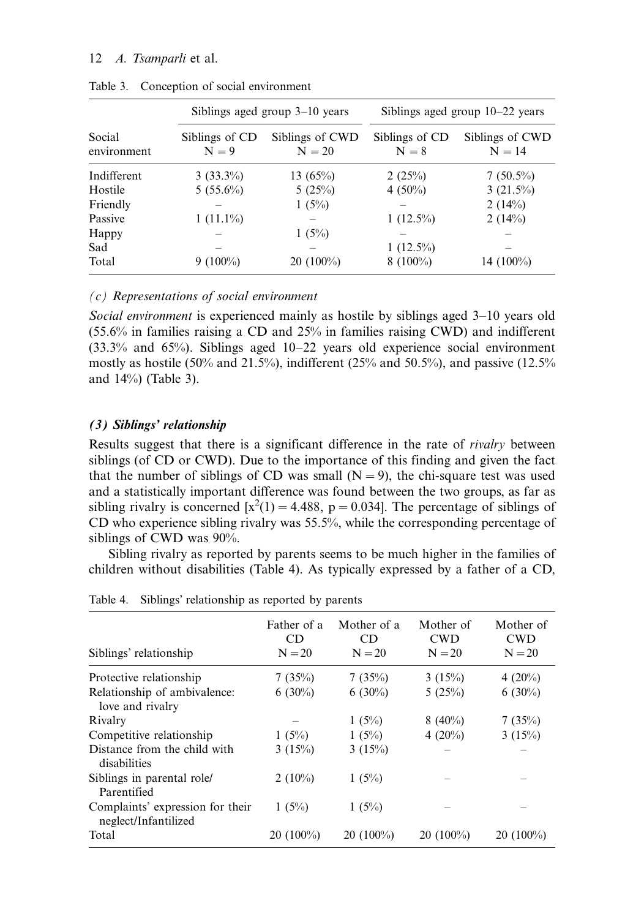|                       | Siblings aged group $3-10$ years |                             | Siblings aged group $10-22$ years |                             |  |
|-----------------------|----------------------------------|-----------------------------|-----------------------------------|-----------------------------|--|
| Social<br>environment | Siblings of CD<br>$N = 9$        | Siblings of CWD<br>$N = 20$ | Siblings of CD<br>$N = 8$         | Siblings of CWD<br>$N = 14$ |  |
| Indifferent           | $3(33.3\%)$                      | 13 $(65\%)$                 | 2(25%)                            | $7(50.5\%)$                 |  |
| Hostile               | $5(55.6\%)$                      | 5(25%)                      | 4 $(50\%)$                        | $3(21.5\%)$                 |  |
| Friendly              |                                  | 1(5%)                       |                                   | 2(14%)                      |  |
| Passive               | $1(11.1\%)$                      |                             | $1(12.5\%)$                       | 2(14%)                      |  |
| Happy                 |                                  | 1(5%)                       |                                   |                             |  |
| Sad                   | $\overline{\phantom{a}}$         |                             | $1(12.5\%)$                       | $\overline{\phantom{a}}$    |  |
| Total                 | $9(100\%)$                       | $20(100\%)$                 | $8(100\%)$                        | 14 (100%)                   |  |

Table 3. Conception of social environment

## (c) Representations of social environment

Social environment is experienced mainly as hostile by siblings aged  $3-10$  years old (55.6% in families raising a CD and 25% in families raising CWD) and indifferent  $(33.3\%$  and  $65\%)$ . Siblings aged  $10-22$  years old experience social environment mostly as hostile (50% and 21.5%), indifferent (25% and 50.5%), and passive (12.5% and 14%) (Table 3).

## (3) Siblings' relationship

Results suggest that there is a significant difference in the rate of rivalry between siblings (of CD or CWD). Due to the importance of this finding and given the fact that the number of siblings of CD was small  $(N = 9)$ , the chi-square test was used and a statistically important difference was found between the two groups, as far as sibling rivalry is concerned  $[x^2(1) = 4.488, p = 0.034]$ . The percentage of siblings of CD who experience sibling rivalry was 55.5%, while the corresponding percentage of siblings of CWD was 90%.

Sibling rivalry as reported by parents seems to be much higher in the families of children without disabilities (Table 4). As typically expressed by a father of a CD,

| Siblings' relationship                                   | Father of a<br>CD<br>$N = 20$ | Mother of a<br>CD<br>$N = 20$ | Mother of<br><b>CWD</b><br>$N = 20$ | Mother of<br><b>CWD</b><br>$N = 20$ |
|----------------------------------------------------------|-------------------------------|-------------------------------|-------------------------------------|-------------------------------------|
| Protective relationship                                  | 7(35%)                        | 7(35%)                        | 3(15%)                              | 4 $(20\%)$                          |
| Relationship of ambivalence:<br>love and rivalry         | $6(30\%)$                     | $6(30\%)$                     | 5(25%)                              | $6(30\%)$                           |
| Rivalry                                                  |                               | 1(5%)                         | $8(40\%)$                           | 7(35%)                              |
| Competitive relationship                                 | 1(5%)                         | 1(5%)                         | 4 $(20\%)$                          | 3(15%)                              |
| Distance from the child with<br>disabilities             | 3(15%)                        | 3(15%)                        |                                     |                                     |
| Siblings in parental role/<br>Parentified                | $2(10\%)$                     | 1(5%)                         |                                     |                                     |
| Complaints' expression for their<br>neglect/Infantilized | 1(5%)                         | 1(5%)                         |                                     |                                     |
| Total                                                    | $20(100\%)$                   | $20(100\%)$                   | $20(100\%)$                         | $20(100\%)$                         |

Table 4. Siblings' relationship as reported by parents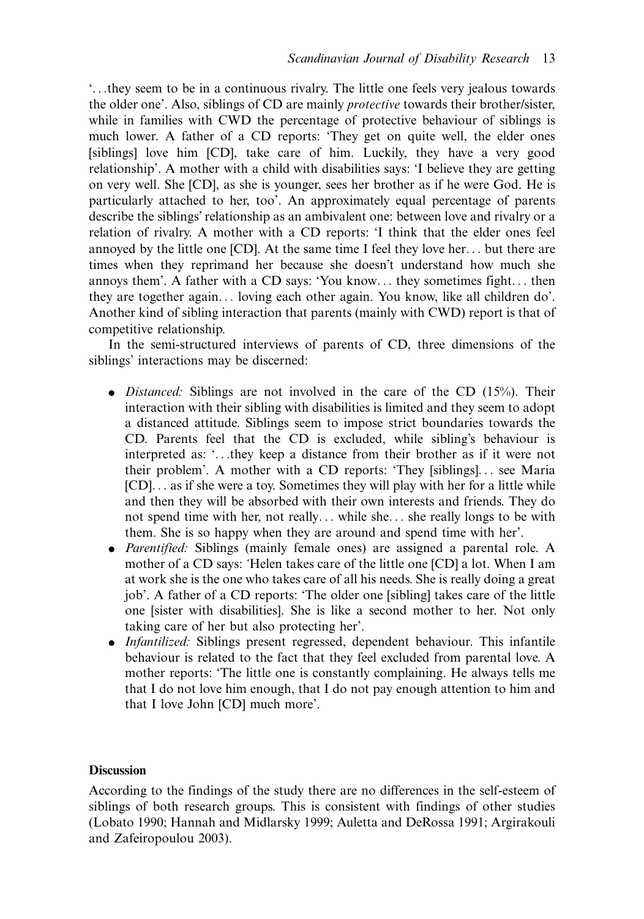'...they seem to be in a continuous rivalry. The little one feels very jealous towards the older one'. Also, siblings of CD are mainly protective towards their brother/sister, while in families with CWD the percentage of protective behaviour of siblings is much lower. A father of a CD reports: 'They get on quite well, the elder ones [siblings] love him [CD], take care of him. Luckily, they have a very good relationship'. A mother with a child with disabilities says: 'I believe they are getting on very well. She [CD], as she is younger, sees her brother as if he were God. He is particularly attached to her, too'. An approximately equal percentage of parents describe the siblings'relationship as an ambivalent one: between love and rivalry or a relation of rivalry. A mother with a CD reports: 'I think that the elder ones feel annoyed by the little one [CD]. At the same time I feel they love her... but there are times when they reprimand her because she doesn't understand how much she annoys them'. A father with a CD says: 'You know... they sometimes fight... then they are together again... loving each other again. You know, like all children do'. Another kind of sibling interaction that parents (mainly with CWD) report is that of competitive relationship.

In the semi-structured interviews of parents of CD, three dimensions of the siblings' interactions may be discerned:

- $\bullet$  *Distanced:* Siblings are not involved in the care of the CD (15%). Their interaction with their sibling with disabilities is limited and they seem to adopt a distanced attitude. Siblings seem to impose strict boundaries towards the CD. Parents feel that the CD is excluded, while sibling's behaviour is interpreted as: '...they keep a distance from their brother as if it were not their problem'. A mother with a CD reports: 'They [siblings]... see Maria [CD]... as if she were a toy. Sometimes they will play with her for a little while and then they will be absorbed with their own interests and friends. They do not spend time with her, not really... while she... she really longs to be with them. She is so happy when they are around and spend time with her'.
- *Parentified:* Siblings (mainly female ones) are assigned a parental role. A mother of a CD says: 'Helen takes care of the little one [CD] a lot. When I am at work she is the one who takes care of all his needs. She is really doing a great job'. A father of a CD reports: 'The older one [sibling] takes care of the little one [sister with disabilities]. She is like a second mother to her. Not only taking care of her but also protecting her'.
- Infantilized: Siblings present regressed, dependent behaviour. This infantile behaviour is related to the fact that they feel excluded from parental love. A mother reports: 'The little one is constantly complaining. He always tells me that I do not love him enough, that I do not pay enough attention to him and that I love John [CD] much more'.

## **Discussion**

According to the findings of the study there are no differences in the self-esteem of siblings of both research groups. This is consistent with findings of other studies (Lobato 1990; Hannah and Midlarsky 1999; Auletta and DeRossa 1991; Argirakouli and Zafeiropoulou 2003).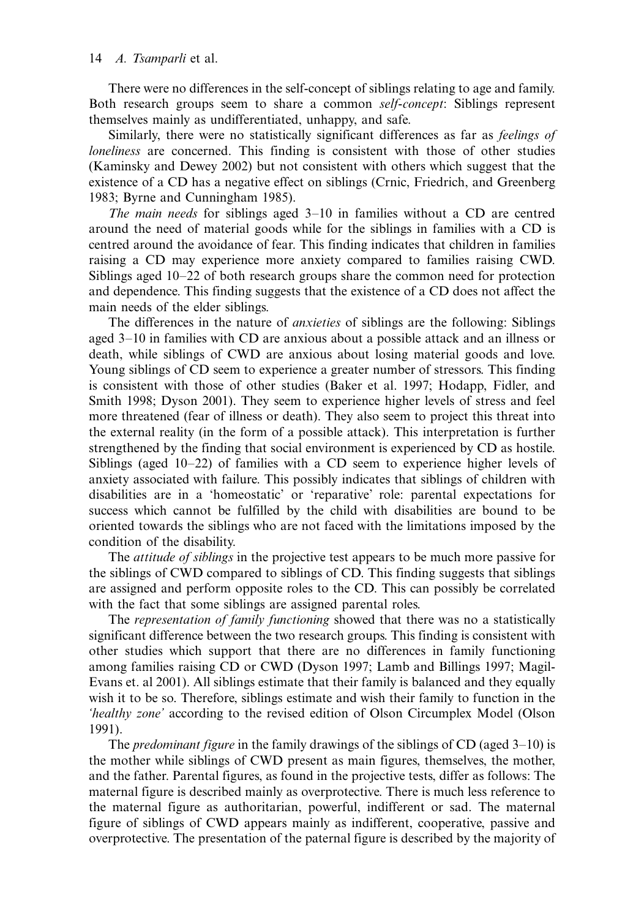There were no differences in the self-concept of siblings relating to age and family. Both research groups seem to share a common self-concept: Siblings represent themselves mainly as undifferentiated, unhappy, and safe.

Similarly, there were no statistically significant differences as far as feelings of loneliness are concerned. This finding is consistent with those of other studies (Kaminsky and Dewey 2002) but not consistent with others which suggest that the existence of a CD has a negative effect on siblings (Crnic, Friedrich, and Greenberg 1983; Byrne and Cunningham 1985).

The main needs for siblings aged  $3-10$  in families without a CD are centred around the need of material goods while for the siblings in families with a CD is centred around the avoidance of fear. This finding indicates that children in families raising a CD may experience more anxiety compared to families raising CWD. Siblings aged  $10-22$  of both research groups share the common need for protection and dependence. This finding suggests that the existence of a CD does not affect the main needs of the elder siblings.

The differences in the nature of anxieties of siblings are the following: Siblings aged  $3-10$  in families with CD are anxious about a possible attack and an illness or death, while siblings of CWD are anxious about losing material goods and love. Young siblings of CD seem to experience a greater number of stressors. This finding is consistent with those of other studies (Baker et al. 1997; Hodapp, Fidler, and Smith 1998; Dyson 2001). They seem to experience higher levels of stress and feel more threatened (fear of illness or death). They also seem to project this threat into the external reality (in the form of a possible attack). This interpretation is further strengthened by the finding that social environment is experienced by CD as hostile. Siblings (aged  $10-22$ ) of families with a CD seem to experience higher levels of anxiety associated with failure. This possibly indicates that siblings of children with disabilities are in a 'homeostatic' or 'reparative' role: parental expectations for success which cannot be fulfilled by the child with disabilities are bound to be oriented towards the siblings who are not faced with the limitations imposed by the condition of the disability.

The *attitude of siblings* in the projective test appears to be much more passive for the siblings of CWD compared to siblings of CD. This finding suggests that siblings are assigned and perform opposite roles to the CD. This can possibly be correlated with the fact that some siblings are assigned parental roles.

The representation of family functioning showed that there was no a statistically significant difference between the two research groups. This finding is consistent with other studies which support that there are no differences in family functioning among families raising CD or CWD (Dyson 1997; Lamb and Billings 1997; Magil-Evans et. al 2001). All siblings estimate that their family is balanced and they equally wish it to be so. Therefore, siblings estimate and wish their family to function in the 'healthy zone' according to the revised edition of Olson Circumplex Model (Olson 1991).

The *predominant figure* in the family drawings of the siblings of CD (aged  $3-10$ ) is the mother while siblings of CWD present as main figures, themselves, the mother, and the father. Parental figures, as found in the projective tests, differ as follows: The maternal figure is described mainly as overprotective. There is much less reference to the maternal figure as authoritarian, powerful, indifferent or sad. The maternal figure of siblings of CWD appears mainly as indifferent, cooperative, passive and overprotective. The presentation of the paternal figure is described by the majority of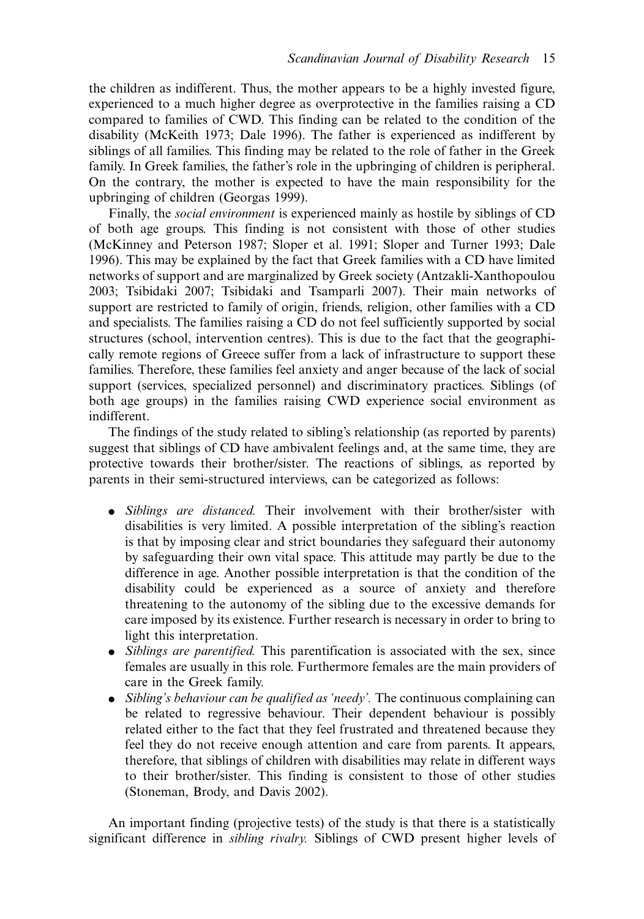the children as indifferent. Thus, the mother appears to be a highly invested figure, experienced to a much higher degree as overprotective in the families raising a CD compared to families of CWD. This finding can be related to the condition of the disability (McKeith 1973; Dale 1996). The father is experienced as indifferent by siblings of all families. This finding may be related to the role of father in the Greek family. In Greek families, the father's role in the upbringing of children is peripheral. On the contrary, the mother is expected to have the main responsibility for the upbringing of children (Georgas 1999).

Finally, the social environment is experienced mainly as hostile by siblings of CD of both age groups. This finding is not consistent with those of other studies (McKinney and Peterson 1987; Sloper et al. 1991; Sloper and Turner 1993; Dale 1996). This may be explained by the fact that Greek families with a CD have limited networks of support and are marginalized by Greek society (Antzakli-Xanthopoulou 2003; Tsibidaki 2007; Tsibidaki and Tsamparli 2007). Their main networks of support are restricted to family of origin, friends, religion, other families with a CD and specialists. The families raising a CD do not feel sufficiently supported by social structures (school, intervention centres). This is due to the fact that the geographically remote regions of Greece suffer from a lack of infrastructure to support these families. Therefore, these families feel anxiety and anger because of the lack of social support (services, specialized personnel) and discriminatory practices. Siblings (of both age groups) in the families raising CWD experience social environment as indifferent.

The findings of the study related to sibling's relationship (as reported by parents) suggest that siblings of CD have ambivalent feelings and, at the same time, they are protective towards their brother/sister. The reactions of siblings, as reported by parents in their semi-structured interviews, can be categorized as follows:

- Siblings are distanced. Their involvement with their brother/sister with disabilities is very limited. A possible interpretation of the sibling's reaction is that by imposing clear and strict boundaries they safeguard their autonomy by safeguarding their own vital space. This attitude may partly be due to the difference in age. Another possible interpretation is that the condition of the disability could be experienced as a source of anxiety and therefore threatening to the autonomy of the sibling due to the excessive demands for care imposed by its existence. Further research is necessary in order to bring to light this interpretation.
- Siblings are parentified. This parentification is associated with the sex, since females are usually in this role. Furthermore females are the main providers of care in the Greek family.
- Sibling's behaviour can be qualified as 'needy'. The continuous complaining can be related to regressive behaviour. Their dependent behaviour is possibly related either to the fact that they feel frustrated and threatened because they feel they do not receive enough attention and care from parents. It appears, therefore, that siblings of children with disabilities may relate in different ways to their brother/sister. This finding is consistent to those of other studies (Stoneman, Brody, and Davis 2002).

An important finding (projective tests) of the study is that there is a statistically significant difference in sibling rivalry. Siblings of CWD present higher levels of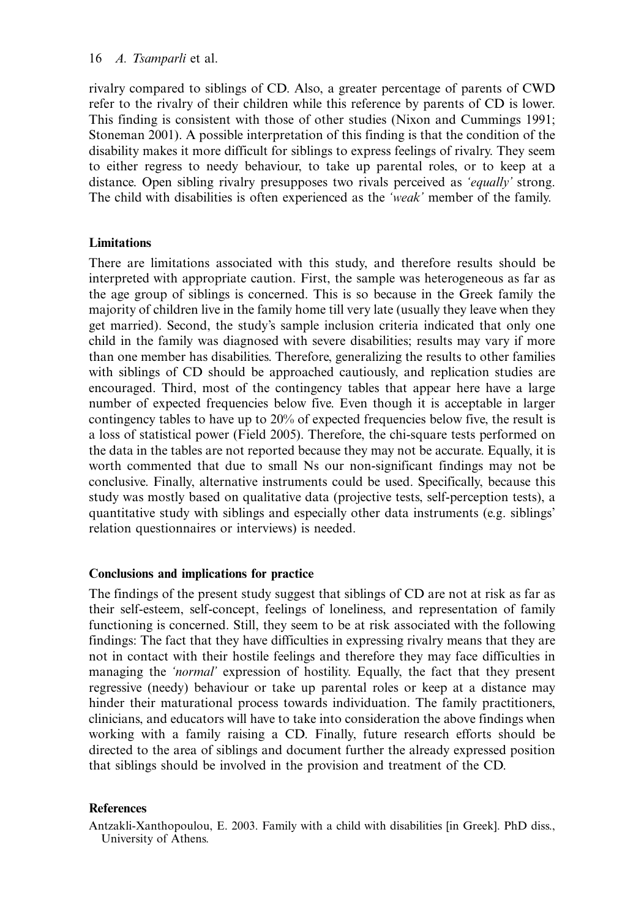rivalry compared to siblings of CD. Also, a greater percentage of parents of CWD refer to the rivalry of their children while this reference by parents of CD is lower. This finding is consistent with those of other studies (Nixon and Cummings 1991; Stoneman 2001). A possible interpretation of this finding is that the condition of the disability makes it more difficult for siblings to express feelings of rivalry. They seem to either regress to needy behaviour, to take up parental roles, or to keep at a distance. Open sibling rivalry presupposes two rivals perceived as 'equally' strong. The child with disabilities is often experienced as the 'weak' member of the family.

## Limitations

There are limitations associated with this study, and therefore results should be interpreted with appropriate caution. First, the sample was heterogeneous as far as the age group of siblings is concerned. This is so because in the Greek family the majority of children live in the family home till very late (usually they leave when they get married). Second, the study's sample inclusion criteria indicated that only one child in the family was diagnosed with severe disabilities; results may vary if more than one member has disabilities. Therefore, generalizing the results to other families with siblings of CD should be approached cautiously, and replication studies are encouraged. Third, most of the contingency tables that appear here have a large number of expected frequencies below five. Even though it is acceptable in larger contingency tables to have up to 20% of expected frequencies below five, the result is a loss of statistical power (Field 2005). Therefore, the chi-square tests performed on the data in the tables are not reported because they may not be accurate. Equally, it is worth commented that due to small Ns our non-significant findings may not be conclusive. Finally, alternative instruments could be used. Specifically, because this study was mostly based on qualitative data (projective tests, self-perception tests), a quantitative study with siblings and especially other data instruments (e.g. siblings' relation questionnaires or interviews) is needed.

## Conclusions and implications for practice

The findings of the present study suggest that siblings of CD are not at risk as far as their self-esteem, self-concept, feelings of loneliness, and representation of family functioning is concerned. Still, they seem to be at risk associated with the following findings: The fact that they have difficulties in expressing rivalry means that they are not in contact with their hostile feelings and therefore they may face difficulties in managing the 'normal' expression of hostility. Equally, the fact that they present regressive (needy) behaviour or take up parental roles or keep at a distance may hinder their maturational process towards individuation. The family practitioners, clinicians, and educators will have to take into consideration the above findings when working with a family raising a CD. Finally, future research efforts should be directed to the area of siblings and document further the already expressed position that siblings should be involved in the provision and treatment of the CD.

## References

Antzakli-Xanthopoulou, E. 2003. Family with a child with disabilities [in Greek]. PhD diss., University of Athens.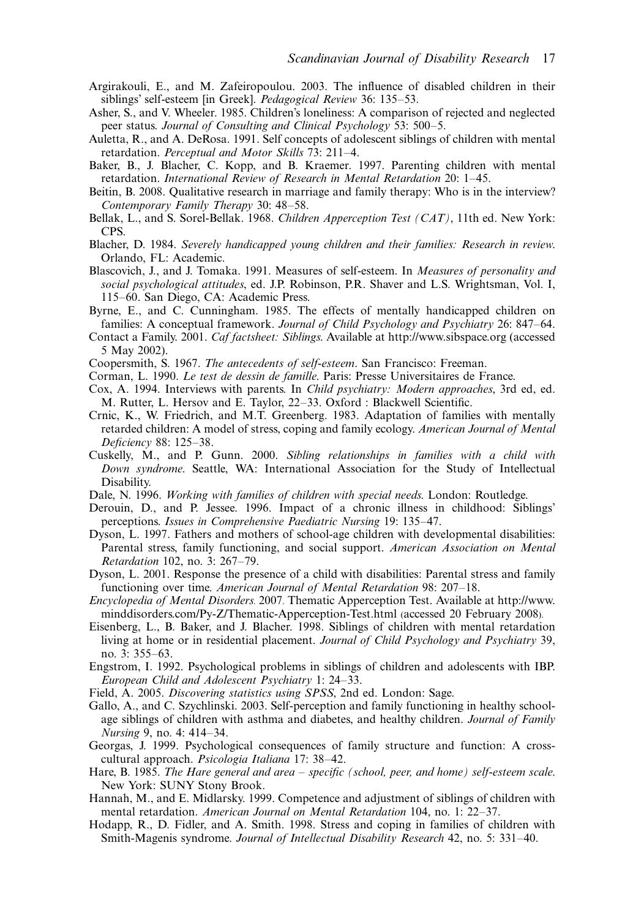- Argirakouli, E., and M. Zafeiropoulou. 2003. The influence of disabled children in their siblings' self-esteem [in Greek]. Pedagogical Review 36: 135–53.
- Asher, S., and V. Wheeler. 1985. Children's loneliness: A comparison of rejected and neglected peer status. Journal of Consulting and Clinical Psychology 53: 500–5.
- Auletta, R., and A. DeRosa. 1991. Self concepts of adolescent siblings of children with mental retardation. Perceptual and Motor Skills 73: 211-4.
- Baker, B., J. Blacher, C. Kopp, and B. Kraemer. 1997. Parenting children with mental retardation. International Review of Research in Mental Retardation 20: 1-45.
- Beitin, B. 2008. Qualitative research in marriage and family therapy: Who is in the interview? Contemporary Family Therapy 30: 48-58.
- Bellak, L., and S. Sorel-Bellak. 1968. Children Apperception Test (CAT), 11th ed. New York: CPS.
- Blacher, D. 1984. Severely handicapped young children and their families: Research in review. Orlando, FL: Academic.
- Blascovich, J., and J. Tomaka. 1991. Measures of self-esteem. In Measures of personality and social psychological attitudes, ed. J.P. Robinson, P.R. Shaver and L.S. Wrightsman, Vol. I, 11560. San Diego, CA: Academic Press.
- Byrne, E., and C. Cunningham. 1985. The effects of mentally handicapped children on families: A conceptual framework. Journal of Child Psychology and Psychiatry 26: 847–64.
- Contact a Family. 2001. Caf factsheet: Siblings. Available at<http://www.sibspace.org> (accessed 5 May 2002).
- Coopersmith, S. 1967. The antecedents of self-esteem. San Francisco: Freeman.
- Corman, L. 1990. Le test de dessin de famille. Paris: Presse Universitaires de France.
- Cox, A. 1994. Interviews with parents. In Child psychiatry: Modern approaches, 3rd ed, ed. M. Rutter, L. Hersov and E. Taylor, 22–33. Oxford : Blackwell Scientific.
- Crnic, K., W. Friedrich, and M.T. Greenberg. 1983. Adaptation of families with mentally retarded children: A model of stress, coping and family ecology. American Journal of Mental Deficiency 88: 125-38.
- Cuskelly, M., and P. Gunn. 2000. Sibling relationships in families with a child with Down syndrome. Seattle, WA: International Association for the Study of Intellectual Disability.
- Dale, N. 1996. Working with families of children with special needs. London: Routledge.
- Derouin, D., and P. Jessee. 1996. Impact of a chronic illness in childhood: Siblings' perceptions. Issues in Comprehensive Paediatric Nursing 19: 135–47.
- Dyson, L. 1997. Fathers and mothers of school-age children with developmental disabilities: Parental stress, family functioning, and social support. American Association on Mental Retardation 102, no. 3: 267-79.
- Dyson, L. 2001. Response the presence of a child with disabilities: Parental stress and family functioning over time. American Journal of Mental Retardation 98: 207-18.
- Encyclopedia of Mental Disorders. 2007. Thematic Apperception Test. Available at [http://www.](http://www.minddisorders.com/Py-Z/Thematic-Apperception-Test.html) [minddisorders.com/Py-Z/Thematic-Apperception-Test.html](http://www.minddisorders.com/Py-Z/Thematic-Apperception-Test.html) (accessed 20 February 2008).
- Eisenberg, L., B. Baker, and J. Blacher. 1998. Siblings of children with mental retardation living at home or in residential placement. Journal of Child Psychology and Psychiatry 39, no. 3: 355-63.
- Engstrom, I. 1992. Psychological problems in siblings of children and adolescents with IBP. European Child and Adolescent Psychiatry 1: 24–33.
- Field, A. 2005. Discovering statistics using SPSS, 2nd ed. London: Sage.
- Gallo, A., and C. Szychlinski. 2003. Self-perception and family functioning in healthy schoolage siblings of children with asthma and diabetes, and healthy children. Journal of Family Nursing 9, no. 4: 414-34.
- Georgas, J. 1999. Psychological consequences of family structure and function: A crosscultural approach. *Psicologia Italiana* 17: 38-42.
- Hare, B. 1985. The Hare general and area specific (school, peer, and home) self-esteem scale. New York: SUNY Stony Brook.
- Hannah, M., and E. Midlarsky. 1999. Competence and adjustment of siblings of children with mental retardation. American Journal on Mental Retardation 104, no. 1: 22-37.
- Hodapp, R., D. Fidler, and A. Smith. 1998. Stress and coping in families of children with Smith-Magenis syndrome. Journal of Intellectual Disability Research 42, no. 5: 331–40.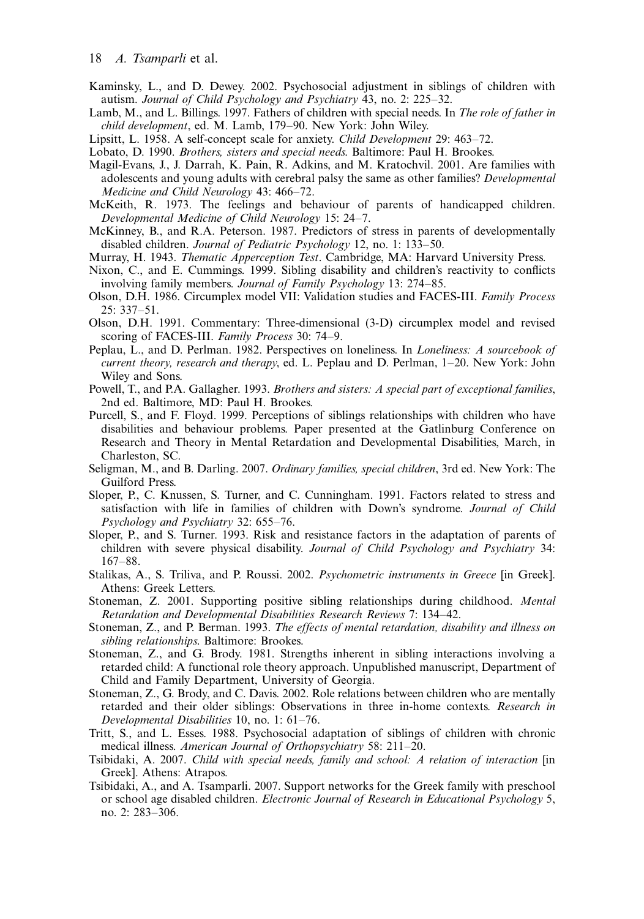- Kaminsky, L., and D. Dewey. 2002. Psychosocial adjustment in siblings of children with autism. Journal of Child Psychology and Psychiatry 43, no. 2: 225-32.
- Lamb, M., and L. Billings. 1997. Fathers of children with special needs. In The role of father in child development, ed. M. Lamb, 179-90. New York: John Wiley.
- Lipsitt, L. 1958. A self-concept scale for anxiety. Child Development 29: 463-72.

Lobato, D. 1990. Brothers, sisters and special needs. Baltimore: Paul H. Brookes.

- Magil-Evans, J., J. Darrah, K. Pain, R. Adkins, and M. Kratochvil. 2001. Are families with adolescents and young adults with cerebral palsy the same as other families? Developmental Medicine and Child Neurology 43: 466-72.
- McKeith, R. 1973. The feelings and behaviour of parents of handicapped children. Developmental Medicine of Child Neurology 15: 24–7.
- McKinney, B., and R.A. Peterson. 1987. Predictors of stress in parents of developmentally disabled children. *Journal of Pediatric Psychology* 12, no. 1: 133–50.
- Murray, H. 1943. Thematic Apperception Test. Cambridge, MA: Harvard University Press.
- Nixon, C., and E. Cummings. 1999. Sibling disability and children's reactivity to conflicts involving family members. Journal of Family Psychology 13: 274–85.
- Olson, D.H. 1986. Circumplex model VII: Validation studies and FACES-III. Family Process  $25: 337 - 51.$
- Olson, D.H. 1991. Commentary: Three-dimensional (3-D) circumplex model and revised scoring of FACES-III. Family Process 30: 74–9.
- Peplau, L., and D. Perlman. 1982. Perspectives on loneliness. In *Loneliness: A sourcebook of* current theory, research and therapy, ed. L. Peplau and D. Perlman,  $1-20$ . New York: John Wiley and Sons.
- Powell, T., and P.A. Gallagher. 1993. Brothers and sisters: A special part of exceptional families, 2nd ed. Baltimore, MD: Paul H. Brookes.
- Purcell, S., and F. Floyd. 1999. Perceptions of siblings relationships with children who have disabilities and behaviour problems. Paper presented at the Gatlinburg Conference on Research and Theory in Mental Retardation and Developmental Disabilities, March, in Charleston, SC.
- Seligman, M., and B. Darling. 2007. Ordinary families, special children, 3rd ed. New York: The Guilford Press.
- Sloper, P., C. Knussen, S. Turner, and C. Cunningham. 1991. Factors related to stress and satisfaction with life in families of children with Down's syndrome. Journal of Child Psychology and Psychiatry 32: 655-76.
- Sloper, P., and S. Turner. 1993. Risk and resistance factors in the adaptation of parents of children with severe physical disability. Journal of Child Psychology and Psychiatry 34:  $167 - 88.$
- Stalikas, A., S. Triliva, and P. Roussi. 2002. Psychometric instruments in Greece [in Greek]. Athens: Greek Letters.
- Stoneman, Z. 2001. Supporting positive sibling relationships during childhood. Mental Retardation and Developmental Disabilities Research Reviews 7: 134-42.
- Stoneman, Z., and P. Berman. 1993. The effects of mental retardation, disability and illness on sibling relationships. Baltimore: Brookes.
- Stoneman, Z., and G. Brody. 1981. Strengths inherent in sibling interactions involving a retarded child: A functional role theory approach. Unpublished manuscript, Department of Child and Family Department, University of Georgia.
- Stoneman, Z., G. Brody, and C. Davis. 2002. Role relations between children who are mentally retarded and their older siblings: Observations in three in-home contexts. Research in Developmental Disabilities 10, no. 1:  $61-76$ .
- Tritt, S., and L. Esses. 1988. Psychosocial adaptation of siblings of children with chronic medical illness. American Journal of Orthopsychiatry 58: 211-20.
- Tsibidaki, A. 2007. Child with special needs, family and school: A relation of interaction [in Greek]. Athens: Atrapos.
- Tsibidaki, A., and A. Tsamparli. 2007. Support networks for the Greek family with preschool or school age disabled children. Electronic Journal of Research in Educational Psychology 5, no. 2: 283-306.